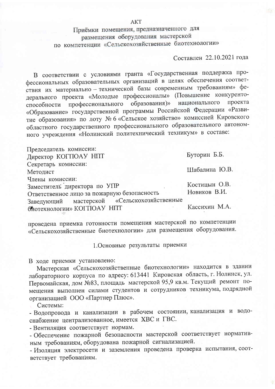Приёмки помещения, предназначенного для размещения оборудования мастерской по компетенции «Сельскохозяйственные биотехнологии»

Составлен 22.10.2021 года

В соответствии с условиями гранта «Государственная поддержка профессиональных образовательных организаций в целях обеспечения соответствия их материально - технической базы современным требованиям» федерального проекта «Молодые профессионалы» (Повышение конкурентопрофессионального образования)» национального проекта способности «Образование» государственной программы Российской Федерации «Развитие образования» по лоту № 6 «Сельское хозяйство» комиссией Кировского областного государственного профессионального образовательного автономного учреждения «Нолинский политехнический техникум» в составе:

Председатель комиссии: Буторин Б.Б. Директор КОГПОАУ НПТ Секретарь комиссии: Шабалина Ю.В. Метолист Члены комиссии: Заместитель директора по УПР Костицын О.В. Новиков В.И. Ответственное лицо за пожарную безопасность «Сельскохозяйственные мастерской Заведующий Кассихин М.А. биотехнологии» КОГПОАУ НПТ

проведена приемка готовности помещения мастерской по компетенции «Сельскохозяйственные биотехнологии» для размещения оборудования.

1. Основные результаты приемки

В ходе приемки установлено:

Мастерская «Сельскохозяйственные биотехнологии» находится в здании лабораторного корпуса по адресу: 613441 Кировская область, г. Нолинск, ул. Первомайская, дом №83, площадь мастерской 95,9 кв.м. Текущий ремонт помещения выполнен силами студентов и сотрудников техникума, подрядной организацией ООО «Партнер Плюс».

Системы:

- Водопровода и канализации в рабочем состоянии, канализация и водоснабжение централизованное, имеется ХВС и ГВС.

- Вентиляция соответствует нормам.

- Обеспечение пожарной безопасности мастерской соответствует нормативным требованиям, оборудована пожарной сигнализацией.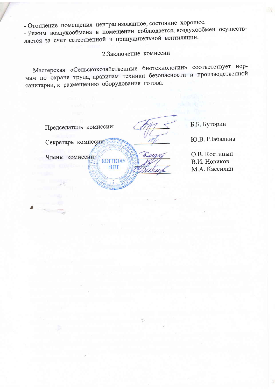- Режим воздухообмена в помещении соблюдается, воздухообмен осуществляется за счет естественной и принудительной вентиляции.

2. Заключение комиссии

Мастерская «Сельскохозяйственные биотехнологии» соответствует нормам по охране труда, правилам техники безопасности и производственной санитарии, к размещению оборудования готова.

Председатель комиссии: Секретарь комиссии: ВАНИ Члены комиссии: **КОГПОАУ HNT** 

Б.Б. Буторин

Ю.В. Шабалина

О.В. Костицын В.И. Новиков М.А. Кассихин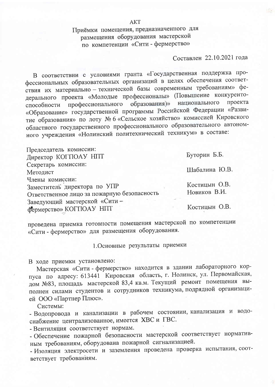Приёмки помещения, предназначенного для размещения оборудования мастерской по компетенции «Сити - фермерство»

## Составлен 22.10.2021 года

В соответствии с условиями гранта «Государственная поддержка профессиональных образовательных организаций в целях обеспечения соответствия их материально - технической базы современным требованиям» федерального проекта «Молодые профессионалы» (Повышение конкурентонационального профессионального образования)» проекта способности «Образование» государственной программы Российской Федерации «Развитие образования» по лоту № 6 «Сельское хозяйство» комиссией Кировского областного государственного профессионального образовательного автономного учреждения «Нолинский политехнический техникум» в составе:

Председатель комиссии: Буторин Б.Б. Директор КОГПОАУ НПТ Секретарь комиссии: Шабалина Ю.В. Методист Члены комиссии: Костицын О.В. Заместитель директора по УПР Новиков В.И. Ответственное лицо за пожарную безопасность Заведующий мастерской «Сити-Костицын О.В. фермерство» КОГПОАУ НПТ

проведена приемка готовности помещения мастерской по компетенции «Сити - фермерство» для размещения оборудования.

1. Основные результаты приемки

В холе приемки установлено:

Мастерская «Сити - фермерство» находится в здании лабораторного корпуса по адресу: 613441 Кировская область, г. Нолинск, ул. Первомайская, дом №83, площадь мастерской 83,4 кв.м. Текущий ремонт помещения выполнен силами студентов и сотрудников техникума, подрядной организацией ООО «Партнер Плюс».

Системы:

- Водопровода и канализации в рабочем состоянии, канализация и водоснабжение централизованное, имеется ХВС и ГВС.

- Вентиляция соответствует нормам.

- Обеспечение пожарной безопасности мастерской соответствует нормативным требованиям, оборудована пожарной сигнализацией.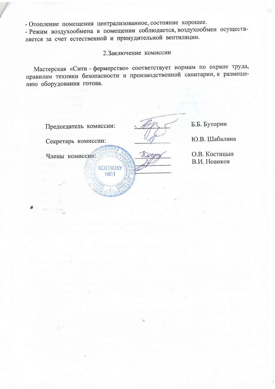- Режим воздухообмена в помещении соблюдается, воздухообмен осуществляется за счет естественной и принудительной вентиляции.

2. Заключение комиссии

Мастерская «Сити - фермерство» соответствует нормам по охране труда, правилам техники безопасности и производственной санитарии, к размещению оборудования готова.

Председатель комиссии: Секретарь комиссии: Члены комиссии: **КОГПОАУ HTT** 

Б.Б. Буторин

Ю.В. Шабалина

О.В. Костицын В.И. Новиков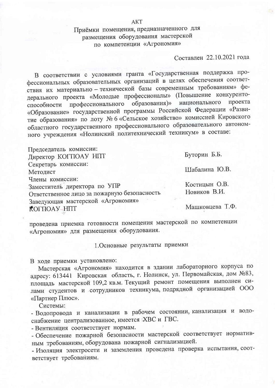## Приёмки помещения, предназначенного для размещения оборудования мастерской по компетенции «Агрономия»

## Составлен 22.10.2021 года

В соответствии с условиями гранта «Государственная поддержка профессиональных образовательных организаций в целях обеспечения соответствия их материально - технической базы современным требованиям» федерального проекта «Молодые профессионалы» (Повышение конкурентопрофессионального образования)» национального проекта способности «Образование» государственной программы Российской Федерации «Развитие образования» по лоту № 6 «Сельское хозяйство» комиссией Кировского областного государственного профессионального образовательного автономного учреждения «Нолинский политехнический техникум» в составе:

| Председатель комиссии:                      |                 |
|---------------------------------------------|-----------------|
| Директор КОГПОАУ НПТ                        | Буторин Б.Б.    |
| Секретарь комиссии:                         |                 |
| Методист                                    | Шабалина Ю.В.   |
| Члены комиссии:                             |                 |
| Заместитель директора по УПР                | Костицын О.В.   |
| Ответственное лицо за пожарную безопасность | Новиков В.И.    |
| Заведующая мастерской «Агрономия»           |                 |
| ROFFIOAY HITT                               | Машковцева Т.Ф. |

проведена приемка готовности помещения мастерской по компетенции «Агрономия» для размещения оборудования.

1. Основные результаты приемки

В ходе приемки установлено:

Мастерская «Агрономия» находится в здании лабораторного корпуса по адресу: 613441 Кировская область, г. Нолинск, ул. Первомайская, дом №83, площадь мастерской 109,2 кв.м. Текущий ремонт помещения выполнен силами студентов и сотрудников техникума, подрядной организацией ООО «Партнер Плюс».

Системы:

- Водопровода и канализации в рабочем состоянии, канализация и водоснабжение централизованное, имеется ЖВС и ГВС.

- Вентиляция соответствует нормам.

- Обеспечение пожарной безопасности мастерской соответствует нормативным требованиям, оборудована пожарной сигнализацией.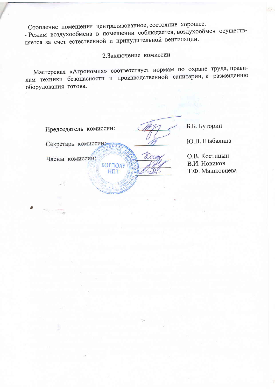**КОГПОАУ** 

**HITT** 

- Режим воздухообмена в помещении соблюдается, воздухообмен осуществляется за счет естественной и принудительной вентиляции.

2. Заключение комиссии

Мастерская «Агрономия» соответствует нормам по охране труда, правилам техники безопасности и производственной санитарии, к размещению оборудования готова.

| Председатель комиссии: |  |
|------------------------|--|
|                        |  |

Секретарь комиссии

Б.Б. Буторин Ю.В. Шабалина

Члены комиссии:

О.В. Костицын

В.И. Новиков

Т.Ф. Машковцева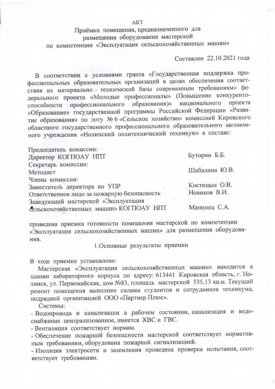Приёмки помещения, предназначенного для размещения оборудования мастерской по компетенции «Эксплуатация сельскохозяйственных машин»

**AKT** 

Составлен 22.10.2021 года

В соответствии с условиями гранта «Государственная поддержка профессиональных образовательных организаций в целях обеспечения соответствия их материально - технической базы современным требованиям» федерального проекта «Молодые профессионалы» (Повышение конкурентопрофессионального образования)» национального проекта способности «Образование» государственной программы Российской Федерации «Развитие образования» по лоту № 6 «Сельское хозяйство» комиссией Кировского областного государственного профессионального образовательного автономного учреждения «Нолинский политехнический техникум» в составе:

| Председатель комиссии:                      |               |
|---------------------------------------------|---------------|
| Директор КОГПОАУ НПТ                        | Буторин Б.Б.  |
| Секретарь комиссии:                         |               |
| Методист                                    | Шабалина Ю.В. |
| Члены комиссии:                             |               |
| Заместитель директора по УПР                | Костицын О.В. |
| Ответственное лицо за пожарную безопасность | Новиков В.И.  |
| Заведующий мастерской «Эксплуатация         |               |
| сельскохозяйственных машин» КОГПОАУ НПТ     | Манинец С.А.  |

проведена приемка готовности помещения мастерской по компетенции «Эксплуатация сельскохозяйственных машин» для размещения оборудования.

1. Основные результаты приемки

В ходе приемки установлено:

Мастерская «Эксплуатация сельскохозяйственных машин» находится в здании лабораторного корпуса по адресу: 613441 Кировская область, г. Нолинск, ул. Первомайская, дом №83, площадь мастерской 535,13 кв.м. Текущий ремонт помещения выполнен силами студентов и сотрудников техникума, подрядной организацией ООО «Партнер Плюс».

Системы:

- Водопровода и канализации в рабочем состоянии, канализация и водоснабжение централизованное, имеется ЖВС и ГВС.

- Вентиляция соответствует нормам.

- Обеспечение пожарной безопасности мастерской соответствует нормативным требованиям, оборудована пожарной сигнализацией.